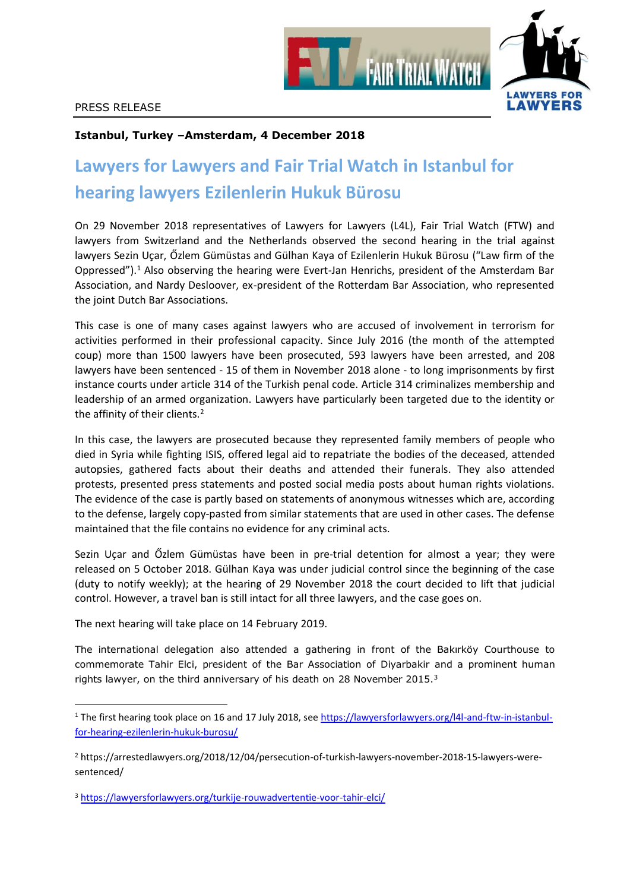

## **Istanbul, Turkey –Amsterdam, 4 December 2018**

## **Lawyers for Lawyers and Fair Trial Watch in Istanbul for hearing lawyers Ezilenlerin Hukuk Bürosu**

On 29 November 2018 representatives of Lawyers for Lawyers (L4L), Fair Trial Watch (FTW) and lawyers from Switzerland and the Netherlands observed the second hearing in the trial against lawyers Sezin Uçar, Őzlem Gümüstas and Gülhan Kaya of Ezilenlerin Hukuk Bürosu ("Law firm of the Oppressed").<sup>1</sup> Also observing the hearing were Evert-Jan Henrichs, president of the Amsterdam Bar Association, and Nardy Desloover, ex-president of the Rotterdam Bar Association, who represented the joint Dutch Bar Associations.

This case is one of many cases against lawyers who are accused of involvement in terrorism for activities performed in their professional capacity. Since July 2016 (the month of the attempted coup) more than 1500 lawyers have been prosecuted, 593 lawyers have been arrested, and 208 lawyers have been sentenced - 15 of them in November 2018 alone - to long imprisonments by first instance courts under article 314 of the Turkish penal code. Article 314 criminalizes membership and leadership of an armed organization. Lawyers have particularly been targeted due to the identity or the affinity of their clients.<sup>2</sup>

In this case, the lawyers are prosecuted because they represented family members of people who died in Syria while fighting ISIS, offered legal aid to repatriate the bodies of the deceased, attended autopsies, gathered facts about their deaths and attended their funerals. They also attended protests, presented press statements and posted social media posts about human rights violations. The evidence of the case is partly based on statements of anonymous witnesses which are, according to the defense, largely copy-pasted from similar statements that are used in other cases. The defense maintained that the file contains no evidence for any criminal acts.

Sezin Uçar and Őzlem Gümüstas have been in pre-trial detention for almost a year; they were released on 5 October 2018. Gülhan Kaya was under judicial control since the beginning of the case (duty to notify weekly); at the hearing of 29 November 2018 the court decided to lift that judicial control. However, a travel ban is still intact for all three lawyers, and the case goes on.

The next hearing will take place on 14 February 2019.

l

The international delegation also attended a gathering in front of the Bakırköy Courthouse to commemorate Tahir Elci, president of the Bar Association of Diyarbakir and a prominent human rights lawyer, on the third anniversary of his death on 28 November 2015.<sup>3</sup>

<sup>1</sup> The first hearing took place on 16 and 17 July 2018, see [https://lawyersforlawyers.org/l4l-and-ftw-in-istanbul](https://lawyersforlawyers.org/l4l-and-ftw-in-istanbul-for-hearing-ezilenlerin-hukuk-burosu/)[for-hearing-ezilenlerin-hukuk-burosu/](https://lawyersforlawyers.org/l4l-and-ftw-in-istanbul-for-hearing-ezilenlerin-hukuk-burosu/)

<sup>2</sup> https://arrestedlawyers.org/2018/12/04/persecution-of-turkish-lawyers-november-2018-15-lawyers-weresentenced/

<sup>3</sup> <https://lawyersforlawyers.org/turkije-rouwadvertentie-voor-tahir-elci/>